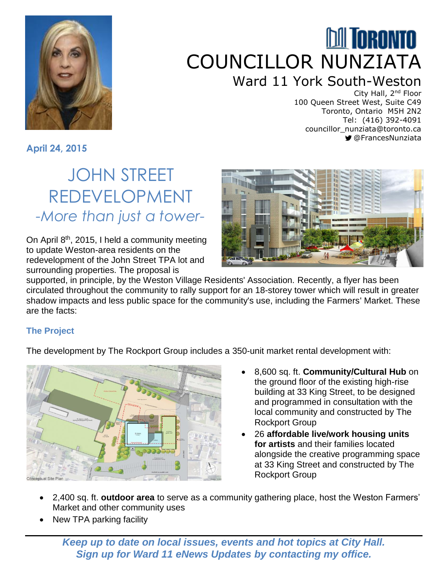

# **MI TORONTO** COUNCILLOR NUNZIATA Ward 11 York South-Weston

City Hall, 2nd Floor 100 Queen Street West, Suite C49 Toronto, Ontario M5H 2N2 Tel: (416) 392-4091 councillor\_nunziata@toronto.ca @FrancesNunziata

**April 24, 2015**

## JOHN STREET REDEVELOPMENT *-More than just a tower-*

On April  $8<sup>th</sup>$ , 2015, I held a community meeting to update Weston-area residents on the redevelopment of the John Street TPA lot and surrounding properties. The proposal is



supported, in principle, by the Weston Village Residents' Association. Recently, a flyer has been circulated throughout the community to rally support for an 18-storey tower which will result in greater shadow impacts and less public space for the community's use, including the Farmers' Market. These are the facts:

### **The Project**

The development by The Rockport Group includes a 350-unit market rental development with:



- 8,600 sq. ft. **Community/Cultural Hub** on the ground floor of the existing high-rise building at 33 King Street, to be designed and programmed in consultation with the local community and constructed by The Rockport Group
- 26 **affordable live/work housing units for artists** and their families located alongside the creative programming space at 33 King Street and constructed by The Rockport Group
- 2,400 sq. ft. **outdoor area** to serve as a community gathering place, host the Weston Farmers' Market and other community uses
- New TPA parking facility

*Keep up to date on local issues, events and hot topics at City Hall. Sign up for Ward 11 eNews Updates by contacting my office.*